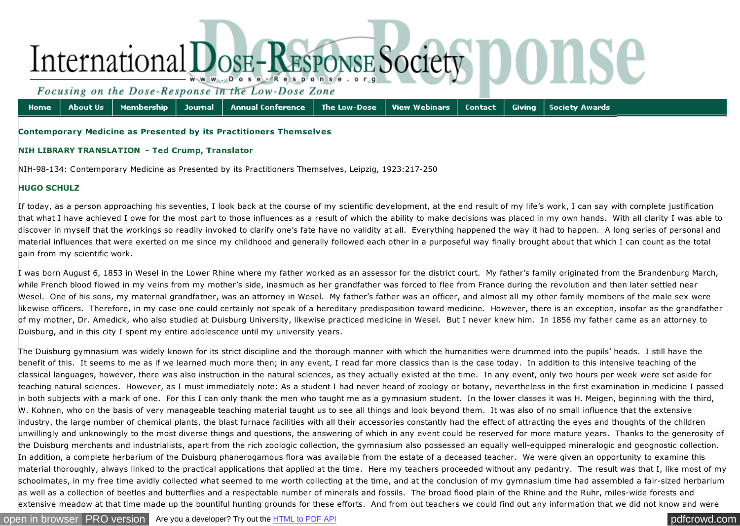# International DOSE-RESPONSE Society DODSE www.Dose-Response Focusing on the Dose-Response in the Low-Dose Zone

#### About Us Membership **Journal Annual Conference** Home

The Low-Dose **View Webinars**  Giving **Society Awards** 

Contact

## **Contemporary Medicine as Presented by its Practitioners Themselves**

## **NIH LIBRARY TRANSLATION - Ted Crump, Translator**

NIH-98-134: Contemporary Medicine as Presented by its Practitioners Themselves, Leipzig, 1923:217-250

#### **HUGO SCHULZ**

If today, as a person approaching his seventies, I look back at the course of my scientific development, at the end result of my life's work, I can say with complete justification that what I have achieved I owe for the most part to those influences as a result of which the ability to make decisions was placed in my own hands. With all clarity I was able to discover in myself that the workings so readily invoked to clarify one's fate have no validity at all. Everything happened the way it had to happen. A long series of personal and material influences that were exerted on me since my childhood and generally followed each other in a purposeful way finally brought about that which I can count as the total gain from my scientific work.

I was born August 6, 1853 in Wesel in the Lower Rhine where my father worked as an assessor for the district court. My father's family originated from the Brandenburg March, while French blood flowed in my veins from my mother's side, inasmuch as her grandfather was forced to flee from France during the revolution and then later settled near Wesel. One of his sons, my maternal grandfather, was an attorney in Wesel. My father's father was an officer, and almost all my other family members of the male sex were likewise officers. Therefore, in my case one could certainly not speak of a hereditary predisposition toward medicine. However, there is an exception, insofar as the grandfather of my mother, Dr. Amedick, who also studied at Duisburg University, likewise practiced medicine in Wesel. But I never knew him. In 1856 my father came as an attorney to Duisburg, and in this city I spent my entire adolescence until my university years.

The Duisburg gymnasium was widely known for its strict discipline and the thorough manner with which the humanities were drummed into the pupils' heads. I still have the benefit of this. It seems to me as if we learned much more then; in any event, I read far more classics than is the case today. In addition to this intensive teaching of the classical languages, however, there was also instruction in the natural sciences, as they actually existed at the time. In any event, only two hours per week were set aside for teaching natural sciences. However, as I must immediately note: As a student I had never heard of zoology or botany, nevertheless in the first examination in medicine I passed in both subjects with a mark of one. For this I can only thank the men who taught me as a gymnasium student. In the lower classes it was H. Meigen, beginning with the third, W. Kohnen, who on the basis of very manageable teaching material taught us to see all things and look beyond them. It was also of no small influence that the extensive industry, the large number of chemical plants, the blast furnace facilities with all their accessories constantly had the effect of attracting the eyes and thoughts of the children unwillingly and unknowingly to the most diverse things and questions, the answering of which in any event could be reserved for more mature years. Thanks to the generosity of the Duisburg merchants and industrialists, apart from the rich zoologic collection, the gymnasium also possessed an equally well-equipped mineralogic and geognostic collection. In addition, a complete herbarium of the Duisburg phanerogamous flora was available from the estate of a deceased teacher. We were given an opportunity to examine this material thoroughly, always linked to the practical applications that applied at the time. Here my teachers proceeded without any pedantry. The result was that I, like most of my schoolmates, in my free time avidly collected what seemed to me worth collecting at the time, and at the conclusion of my gymnasium time had assembled a fair-sized herbarium as well as a collection of beetles and butterflies and a respectable number of minerals and fossils. The broad flood plain of the Rhine and the Ruhr, miles-wide forests and extensive meadow at that time made up the bountiful hunting grounds for these efforts. And from out teachers we could find out any information that we did not know and were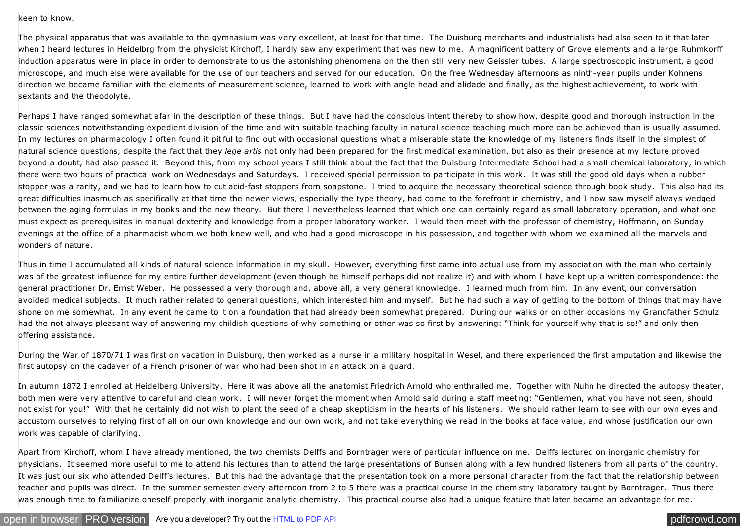keen to know.

The physical apparatus that was available to the gymnasium was very excellent, at least for that time. The Duisburg merchants and industrialists had also seen to it that later when I heard lectures in Heidelbrg from the physicist Kirchoff, I hardly saw any experiment that was new to me. A magnificent battery of Grove elements and a large Ruhmkorff induction apparatus were in place in order to demonstrate to us the astonishing phenomena on the then still very new Geissler tubes. A large spectroscopic instrument, a good microscope, and much else were available for the use of our teachers and served for our education. On the free Wednesday afternoons as ninth-year pupils under Kohnens direction we became familiar with the elements of measurement science, learned to work with angle head and alidade and finally, as the highest achievement, to work with sextants and the theodolyte.

Perhaps I have ranged somewhat afar in the description of these things. But I have had the conscious intent thereby to show how, despite good and thorough instruction in the classic sciences notwithstanding expedient division of the time and with suitable teaching faculty in natural science teaching much more can be achieved than is usually assumed. In my lectures on pharmacology I often found it pitiful to find out with occasional questions what a miserable state the knowledge of my listeners finds itself in the simplest of natural science questions, despite the fact that they *lege artis* not only had been prepared for the first medical examination, but also as their presence at my lecture proved beyond a doubt, had also passed it. Beyond this, from my school years I still think about the fact that the Duisburg Intermediate School had a small chemical laboratory, in which there were two hours of practical work on Wednesdays and Saturdays. I received special permission to participate in this work. It was still the good old days when a rubber stopper was a rarity, and we had to learn how to cut acid-fast stoppers from soapstone. I tried to acquire the necessary theoretical science through book study. This also had its great difficulties inasmuch as specifically at that time the newer views, especially the type theory, had come to the forefront in chemistry, and I now saw myself always wedged between the aging formulas in my books and the new theory. But there I nevertheless learned that which one can certainly regard as small laboratory operation, and what one must expect as prerequisites in manual dexterity and knowledge from a proper laboratory worker. I would then meet with the professor of chemistry, Hoffmann, on Sunday evenings at the office of a pharmacist whom we both knew well, and who had a good microscope in his possession, and together with whom we examined all the marvels and wonders of nature.

Thus in time I accumulated all kinds of natural science information in my skull. However, everything first came into actual use from my association with the man who certainly was of the greatest influence for my entire further development (even though he himself perhaps did not realize it) and with whom I have kept up a written correspondence: the general practitioner Dr. Ernst Weber. He possessed a very thorough and, above all, a very general knowledge. I learned much from him. In any event, our conversation avoided medical subjects. It much rather related to general questions, which interested him and myself. But he had such a way of getting to the bottom of things that may have shone on me somewhat. In any event he came to it on a foundation that had already been somewhat prepared. During our walks or on other occasions my Grandfather Schulz had the not always pleasant way of answering my childish questions of why something or other was so first by answering: "Think for yourself why that is so!" and only then offering assistance.

During the War of 1870/71 I was first on vacation in Duisburg, then worked as a nurse in a military hospital in Wesel, and there experienced the first amputation and likewise the first autopsy on the cadaver of a French prisoner of war who had been shot in an attack on a guard.

In autumn 1872 I enrolled at Heidelberg University. Here it was above all the anatomist Friedrich Arnold who enthralled me. Together with Nuhn he directed the autopsy theater, both men were very attentive to careful and clean work. I will never forget the moment when Arnold said during a staff meeting: "Gentlemen, what you have not seen, should not exist for you!" With that he certainly did not wish to plant the seed of a cheap skepticism in the hearts of his listeners. We should rather learn to see with our own eyes and accustom ourselves to relying first of all on our own knowledge and our own work, and not take everything we read in the books at face value, and whose justification our own work was capable of clarifying.

Apart from Kirchoff, whom I have already mentioned, the two chemists Delffs and Borntrager were of particular influence on me. Delffs lectured on inorganic chemistry for physicians. It seemed more useful to me to attend his lectures than to attend the large presentations of Bunsen along with a few hundred listeners from all parts of the country. It was just our six who attended Delff's lectures. But this had the advantage that the presentation took on a more personal character from the fact that the relationship between teacher and pupils was direct. In the summer semester every afternoon from 2 to 5 there was a practical course in the chemistry laboratory taught by Borntrager. Thus there was enough time to familiarize oneself properly with inorganic analytic chemistry. This practical course also had a unique feature that later became an advantage for me.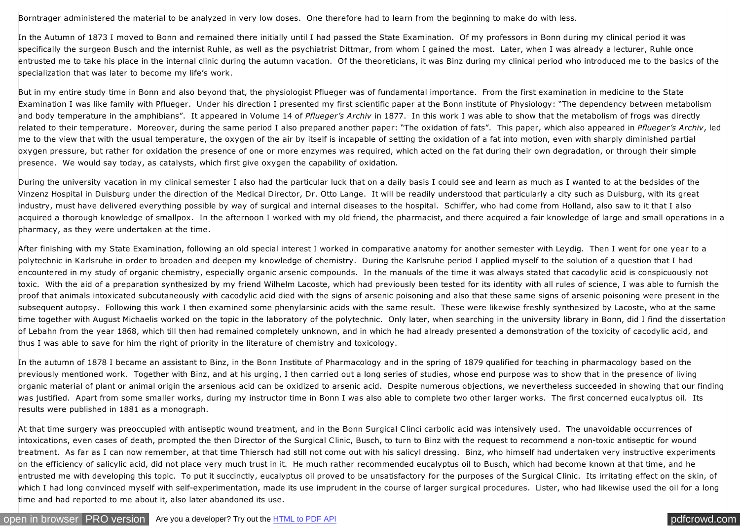Borntrager administered the material to be analyzed in very low doses. One therefore had to learn from the beginning to make do with less.

In the Autumn of 1873 I moved to Bonn and remained there initially until I had passed the State Examination. Of my professors in Bonn during my clinical period it was specifically the surgeon Busch and the internist Ruhle, as well as the psychiatrist Dittmar, from whom I gained the most. Later, when I was already a lecturer, Ruhle once entrusted me to take his place in the internal clinic during the autumn vacation. Of the theoreticians, it was Binz during my clinical period who introduced me to the basics of the specialization that was later to become my life's work.

But in my entire study time in Bonn and also beyond that, the physiologist Pflueger was of fundamental importance. From the first examination in medicine to the State Examination I was like family with Pflueger. Under his direction I presented my first scientific paper at the Bonn institute of Physiology: "The dependency between metabolism and body temperature in the amphibians". It appeared in Volume 14 of *Pflueger's Archiv* in 1877. In this work I was able to show that the metabolism of frogs was directly related to their temperature. Moreover, during the same period I also prepared another paper: "The oxidation of fats". This paper, which also appeared in *Pflueger's Archiv*, led me to the view that with the usual temperature, the oxygen of the air by itself is incapable of setting the oxidation of a fat into motion, even with sharply diminished partial oxygen pressure, but rather for oxidation the presence of one or more enzymes was required, which acted on the fat during their own degradation, or through their simple presence. We would say today, as catalysts, which first give oxygen the capability of oxidation.

During the university vacation in my clinical semester I also had the particular luck that on a daily basis I could see and learn as much as I wanted to at the bedsides of the Vinzenz Hospital in Duisburg under the direction of the Medical Director, Dr. Otto Lange. It will be readily understood that particularly a city such as Duisburg, with its great industry, must have delivered everything possible by way of surgical and internal diseases to the hospital. Schiffer, who had come from Holland, also saw to it that I also acquired a thorough knowledge of smallpox. In the afternoon I worked with my old friend, the pharmacist, and there acquired a fair knowledge of large and small operations in a pharmacy, as they were undertaken at the time.

After finishing with my State Examination, following an old special interest I worked in comparative anatomy for another semester with Leydig. Then I went for one year to a polytechnic in Karlsruhe in order to broaden and deepen my knowledge of chemistry. During the Karlsruhe period I applied myself to the solution of a question that I had encountered in my study of organic chemistry, especially organic arsenic compounds. In the manuals of the time it was always stated that cacodylic acid is conspicuously not toxic. With the aid of a preparation synthesized by my friend Wilhelm Lacoste, which had previously been tested for its identity with all rules of science, I was able to furnish the proof that animals intoxicated subcutaneously with cacodylic acid died with the signs of arsenic poisoning and also that these same signs of arsenic poisoning were present in the subsequent autopsy. Following this work I then examined some phenylarsinic acids with the same result. These were likewise freshly synthesized by Lacoste, who at the same time together with August Michaelis worked on the topic in the laboratory of the polytechnic. Only later, when searching in the university library in Bonn, did I find the dissertation of Lebahn from the year 1868, which till then had remained completely unknown, and in which he had already presented a demonstration of the toxicity of cacodylic acid, and thus I was able to save for him the right of priority in the literature of chemistry and toxicology.

In the autumn of 1878 I became an assistant to Binz, in the Bonn Institute of Pharmacology and in the spring of 1879 qualified for teaching in pharmacology based on the previously mentioned work. Together with Binz, and at his urging, I then carried out a long series of studies, whose end purpose was to show that in the presence of living organic material of plant or animal origin the arsenious acid can be oxidized to arsenic acid. Despite numerous objections, we nevertheless succeeded in showing that our finding was justified. Apart from some smaller works, during my instructor time in Bonn I was also able to complete two other larger works. The first concerned eucalyptus oil. Its results were published in 1881 as a monograph.

At that time surgery was preoccupied with antiseptic wound treatment, and in the Bonn Surgical Clinci carbolic acid was intensively used. The unavoidable occurrences of intoxications, even cases of death, prompted the then Director of the Surgical Clinic, Busch, to turn to Binz with the request to recommend a non-toxic antiseptic for wound treatment. As far as I can now remember, at that time Thiersch had still not come out with his salicyl dressing. Binz, who himself had undertaken very instructive experiments on the efficiency of salicylic acid, did not place very much trust in it. He much rather recommended eucalyptus oil to Busch, which had become known at that time, and he entrusted me with developing this topic. To put it succinctly, eucalyptus oil proved to be unsatisfactory for the purposes of the Surgical Clinic. Its irritating effect on the skin, of which I had long convinced myself with self-experimentation, made its use imprudent in the course of larger surgical procedures. Lister, who had likewise used the oil for a long time and had reported to me about it, also later abandoned its use.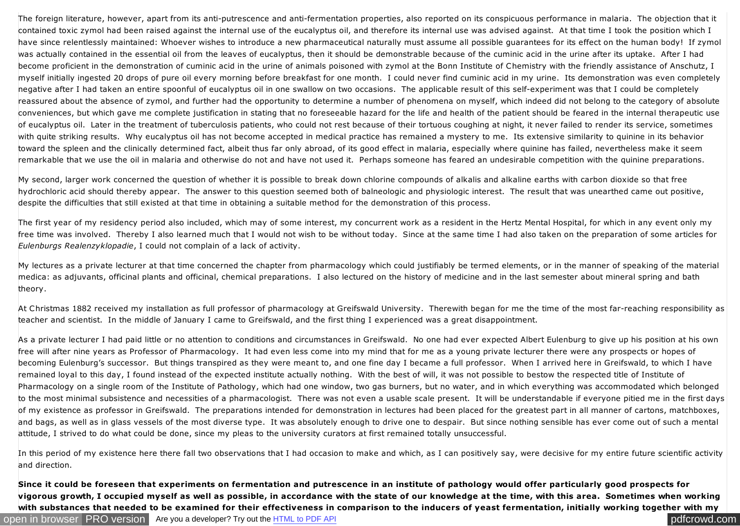The foreign literature, however, apart from its anti-putrescence and anti-fermentation properties, also reported on its conspicuous performance in malaria. The objection that it contained toxic zymol had been raised against the internal use of the eucalyptus oil, and therefore its internal use was advised against. At that time I took the position which I have since relentlessly maintained: Whoever wishes to introduce a new pharmaceutical naturally must assume all possible guarantees for its effect on the human body! If zymol was actually contained in the essential oil from the leaves of eucalyptus, then it should be demonstrable because of the cuminic acid in the urine after its uptake. After I had become proficient in the demonstration of cuminic acid in the urine of animals poisoned with zymol at the Bonn Institute of Chemistry with the friendly assistance of Anschutz, I myself initially ingested 20 drops of pure oil every morning before breakfast for one month. I could never find cuminic acid in my urine. Its demonstration was even completely negative after I had taken an entire spoonful of eucalyptus oil in one swallow on two occasions. The applicable result of this self-experiment was that I could be completely reassured about the absence of zymol, and further had the opportunity to determine a number of phenomena on myself, which indeed did not belong to the category of absolute conveniences, but which gave me complete justification in stating that no foreseeable hazard for the life and health of the patient should be feared in the internal therapeutic use of eucalyptus oil. Later in the treatment of tuberculosis patients, who could not rest because of their tortuous coughing at night, it never failed to render its service, sometimes with quite striking results. Why eucalyptus oil has not become accepted in medical practice has remained a mystery to me. Its extensive similarity to quinine in its behavior toward the spleen and the clinically determined fact, albeit thus far only abroad, of its good effect in malaria, especially where quinine has failed, nevertheless make it seem remarkable that we use the oil in malaria and otherwise do not and have not used it. Perhaps someone has feared an undesirable competition with the quinine preparations.

My second, larger work concerned the question of whether it is possible to break down chlorine compounds of alkalis and alkaline earths with carbon dioxide so that free hydrochloric acid should thereby appear. The answer to this question seemed both of balneologic and physiologic interest. The result that was unearthed came out positive, despite the difficulties that still existed at that time in obtaining a suitable method for the demonstration of this process.

The first year of my residency period also included, which may of some interest, my concurrent work as a resident in the Hertz Mental Hospital, for which in any event only my free time was involved. Thereby I also learned much that I would not wish to be without today. Since at the same time I had also taken on the preparation of some articles for *Eulenburgs Realenzyklopadie*, I could not complain of a lack of activity.

My lectures as a private lecturer at that time concerned the chapter from pharmacology which could justifiably be termed elements, or in the manner of speaking of the material medica: as adjuvants, officinal plants and officinal, chemical preparations. I also lectured on the history of medicine and in the last semester about mineral spring and bath theory.

At Christmas 1882 received my installation as full professor of pharmacology at Greifswald University. Therewith began for me the time of the most far-reaching responsibility as teacher and scientist. In the middle of January I came to Greifswald, and the first thing I experienced was a great disappointment.

As a private lecturer I had paid little or no attention to conditions and circumstances in Greifswald. No one had ever expected Albert Eulenburg to give up his position at his own free will after nine years as Professor of Pharmacology. It had even less come into my mind that for me as a young private lecturer there were any prospects or hopes of becoming Eulenburg's successor. But things transpired as they were meant to, and one fine day I became a full professor. When I arrived here in Greifswald, to which I have remained loyal to this day, I found instead of the expected institute actually nothing. With the best of will, it was not possible to bestow the respected title of Institute of Pharmacology on a single room of the Institute of Pathology, which had one window, two gas burners, but no water, and in which everything was accommodated which belonged to the most minimal subsistence and necessities of a pharmacologist. There was not even a usable scale present. It will be understandable if everyone pitied me in the first days of my existence as professor in Greifswald. The preparations intended for demonstration in lectures had been placed for the greatest part in all manner of cartons, matchboxes, and bags, as well as in glass vessels of the most diverse type. It was absolutely enough to drive one to despair. But since nothing sensible has ever come out of such a mental attitude, I strived to do what could be done, since my pleas to the university curators at first remained totally unsuccessful.

In this period of my existence here there fall two observations that I had occasion to make and which, as I can positively say, were decisive for my entire future scientific activity and direction.

**Since it could be foreseen that experiments on fermentation and putrescence in an institute of pathology would offer particularly good prospects for vigorous growth, I occupied myself as well as possible, in accordance with the state of our knowledge at the time, with this area. Sometimes when working with substances that needed to be examined for their effectiveness in comparison to the inducers of yeast fermentation, initially working together with my**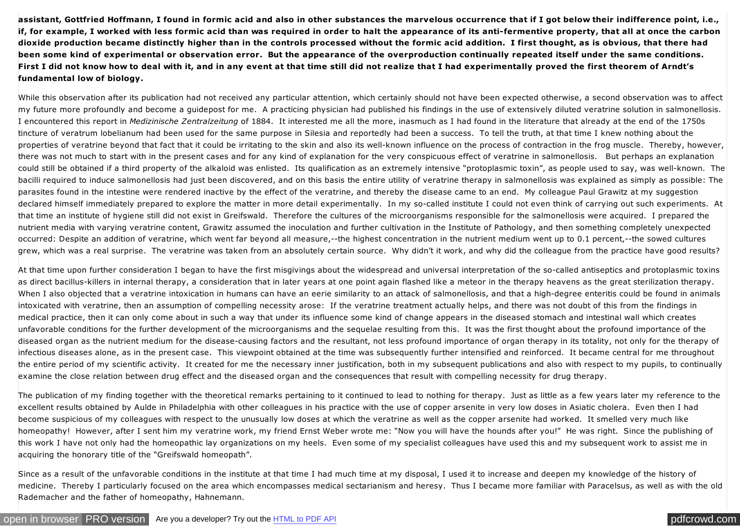**assistant, Gottfried Hoffmann, I found in formic acid and also in other substances the marvelous occurrence that if I got below their indifference point, i.e., if, for example, I worked with less formic acid than was required in order to halt the appearance of its anti-fermentive property, that all at once the carbon dioxide production became distinctly higher than in the controls processed without the formic acid addition. I first thought, as is obvious, that there had been some kind of experimental or observation error. But the appearance of the overproduction continually repeated itself under the same conditions. First I did not know how to deal with it, and in any event at that time still did not realize that I had experimentally proved the first theorem of Arndt's fundamental low of biology.**

While this observation after its publication had not received any particular attention, which certainly should not have been expected otherwise, a second observation was to affect my future more profoundly and become a guidepost for me. A practicing physician had published his findings in the use of extensively diluted veratrine solution in salmonellosis. I encountered this report in *Medizinische Zentralzeitung* of 1884. It interested me all the more, inasmuch as I had found in the literature that already at the end of the 1750s tincture of veratrum lobelianum had been used for the same purpose in Silesia and reportedly had been a success. To tell the truth, at that time I knew nothing about the properties of veratrine beyond that fact that it could be irritating to the skin and also its well-known influence on the process of contraction in the frog muscle. Thereby, however, there was not much to start with in the present cases and for any kind of explanation for the very conspicuous effect of veratrine in salmonellosis. But perhaps an explanation could still be obtained if a third property of the alkaloid was enlisted. Its qualification as an extremely intensive "protoplasmic toxin", as people used to say, was well-known. The bacilli required to induce salmonellosis had just been discovered, and on this basis the entire utility of veratrine therapy in salmonellosis was explained as simply as possible: The parasites found in the intestine were rendered inactive by the effect of the veratrine, and thereby the disease came to an end. My colleague Paul Grawitz at my suggestion declared himself immediately prepared to explore the matter in more detail experimentally. In my so-called institute I could not even think of carrying out such experiments. At that time an institute of hygiene still did not exist in Greifswald. Therefore the cultures of the microorganisms responsible for the salmonellosis were acquired. I prepared the nutrient media with varying veratrine content, Grawitz assumed the inoculation and further cultivation in the Institute of Pathology, and then something completely unexpected occurred: Despite an addition of veratrine, which went far beyond all measure,--the highest concentration in the nutrient medium went up to 0.1 percent,--the sowed cultures grew, which was a real surprise. The veratrine was taken from an absolutely certain source. Why didn't it work, and why did the colleague from the practice have good results?

At that time upon further consideration I began to have the first misgivings about the widespread and universal interpretation of the so-called antiseptics and protoplasmic toxins as direct bacillus-killers in internal therapy, a consideration that in later years at one point again flashed like a meteor in the therapy heavens as the great sterilization therapy. When I also objected that a veratrine intoxication in humans can have an eerie similarity to an attack of salmonellosis, and that a high-degree enteritis could be found in animals intoxicated with veratrine, then an assumption of compelling necessity arose: If the veratrine treatment actually helps, and there was not doubt of this from the findings in medical practice, then it can only come about in such a way that under its influence some kind of change appears in the diseased stomach and intestinal wall which creates unfavorable conditions for the further development of the microorganisms and the sequelae resulting from this. It was the first thought about the profound importance of the diseased organ as the nutrient medium for the disease-causing factors and the resultant, not less profound importance of organ therapy in its totality, not only for the therapy of infectious diseases alone, as in the present case. This viewpoint obtained at the time was subsequently further intensified and reinforced. It became central for me throughout the entire period of my scientific activity. It created for me the necessary inner justification, both in my subsequent publications and also with respect to my pupils, to continually examine the close relation between drug effect and the diseased organ and the consequences that result with compelling necessity for drug therapy.

The publication of my finding together with the theoretical remarks pertaining to it continued to lead to nothing for therapy. Just as little as a few years later my reference to the excellent results obtained by Aulde in Philadelphia with other colleagues in his practice with the use of copper arsenite in very low doses in Asiatic cholera. Even then I had become suspicious of my colleagues with respect to the unusually low doses at which the veratrine as well as the copper arsenite had worked. It smelled very much like homeopathy! However, after I sent him my veratrine work, my friend Ernst Weber wrote me: "Now you will have the hounds after you!" He was right. Since the publishing of this work I have not only had the homeopathic lay organizations on my heels. Even some of my specialist colleagues have used this and my subsequent work to assist me in acquiring the honorary title of the "Greifswald homeopath".

Since as a result of the unfavorable conditions in the institute at that time I had much time at my disposal, I used it to increase and deepen my knowledge of the history of medicine. Thereby I particularly focused on the area which encompasses medical sectarianism and heresy. Thus I became more familiar with Paracelsus, as well as with the old Rademacher and the father of homeopathy, Hahnemann.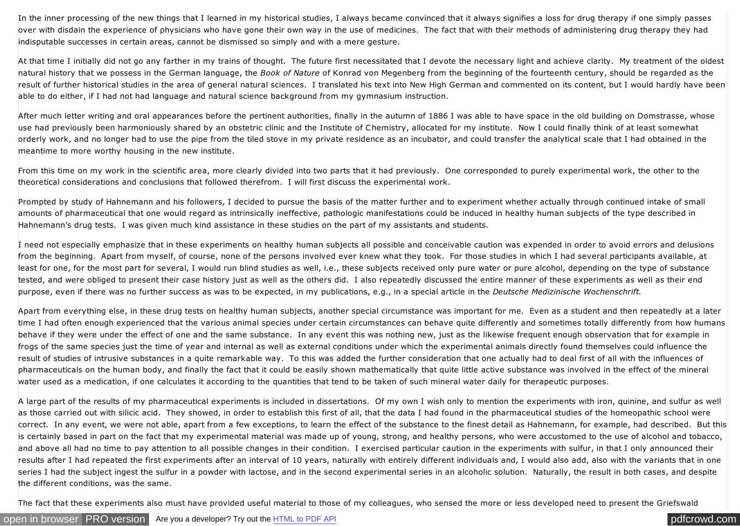In the inner processing of the new things that I learned in my historical studies, I always became convinced that it always signifies a loss for drug therapy if one simply passes over with disdain the experience of physicians who have gone their own way in the use of medicines. The fact that with their methods of administering drug therapy they had indisputable successes in certain areas, cannot be dismissed so simply and with a mere gesture.

At that time I initially did not go any farther in my trains of thought. The future first necessitated that I devote the necessary light and achieve clarity. My treatment of the oldest natural history that we possess in the German language, the *Book of Nature* of Konrad von Megenberg from the beginning of the fourteenth century, should be regarded as the result of further historical studies in the area of general natural sciences. I translated his text into New High German and commented on its content, but I would hardly have been able to do either, if I had not had language and natural science background from my gymnasium instruction.

After much letter writing and oral appearances before the pertinent authorities, finally in the autumn of 1886 I was able to have space in the old building on Domstrasse, whose use had previously been harmoniously shared by an obstetric clinic and the Institute of Chemistry, allocated for my institute. Now I could finally think of at least somewhat orderly work, and no longer had to use the pipe from the tiled stove in my private residence as an incubator, and could transfer the analytical scale that I had obtained in the meantime to more worthy housing in the new institute.

From this time on my work in the scientific area, more clearly divided into two parts that it had previously. One corresponded to purely experimental work, the other to the theoretical considerations and conclusions that followed therefrom. I will first discuss the experimental work.

Prompted by study of Hahnemann and his followers, I decided to pursue the basis of the matter further and to experiment whether actually through continued intake of small amounts of pharmaceutical that one would regard as intrinsically ineffective, pathologic manifestations could be induced in healthy human subjects of the type described in Hahnemann's drug tests. I was given much kind assistance in these studies on the part of my assistants and students.

I need not especially emphasize that in these experiments on healthy human subjects all possible and conceivable caution was expended in order to avoid errors and delusions from the beginning. Apart from myself, of course, none of the persons involved ever knew what they took. For those studies in which I had several participants available, at least for one, for the most part for several, I would run blind studies as well, i.e., these subjects received only pure water or pure alcohol, depending on the type of substance tested, and were obliged to present their case history just as well as the others did. I also repeatedly discussed the entire manner of these experiments as well as their end purpose, even if there was no further success as was to be expected, in my publications, e.g., in a special article in the *Deutsche Medizinische Wochenschrift.*

Apart from everything else, in these drug tests on healthy human subjects, another special circumstance was important for me. Even as a student and then repeatedly at a later time I had often enough experienced that the various animal species under certain circumstances can behave quite differently and sometimes totally differently from how humans behave if they were under the effect of one and the same substance. In any event this was nothing new, just as the likewise frequent enough observation that for example in frogs of the same species just the time of year and internal as well as external conditions under which the experimental animals directly found themselves could influence the result of studies of intrusive substances in a quite remarkable way. To this was added the further consideration that one actually had to deal first of all with the influences of pharmaceuticals on the human body, and finally the fact that it could be easily shown mathematically that quite little active substance was involved in the effect of the mineral water used as a medication, if one calculates it according to the quantities that tend to be taken of such mineral water daily for therapeutic purposes.

A large part of the results of my pharmaceutical experiments is included in dissertations. Of my own I wish only to mention the experiments with iron, quinine, and sulfur as well as those carried out with silicic acid. They showed, in order to establish this first of all, that the data I had found in the pharmaceutical studies of the homeopathic school were correct. In any event, we were not able, apart from a few exceptions, to learn the effect of the substance to the finest detail as Hahnemann, for example, had described. But this is certainly based in part on the fact that my experimental material was made up of young, strong, and healthy persons, who were accustomed to the use of alcohol and tobacco, and above all had no time to pay attention to all possible changes in their condition. I exercised particular caution in the experiments with sulfur, in that I only announced their results after I had repeated the first experiments after an interval of 10 years, naturally with entirely different individuals and, I would also add, also with the variants that in one series I had the subject ingest the sulfur in a powder with lactose, and in the second experimental series in an alcoholic solution. Naturally, the result in both cases, and despite the different conditions, was the same.

The fact that these experiments also must have provided useful material to those of my colleagues, who sensed the more or less developed need to present the Griefswald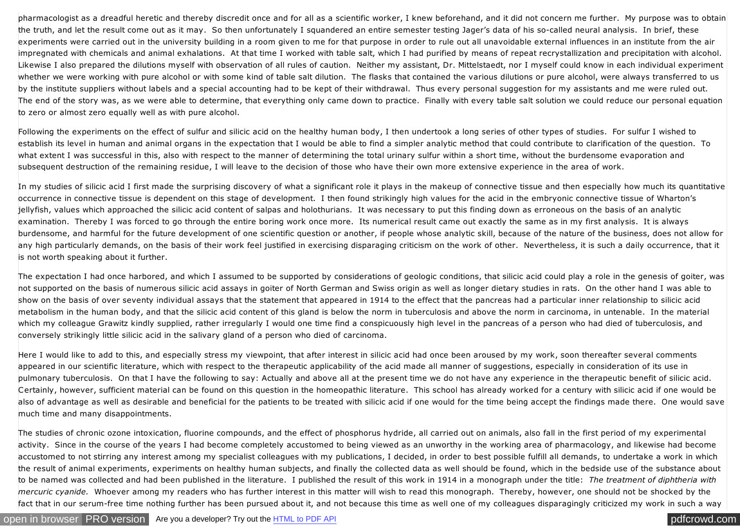pharmacologist as a dreadful heretic and thereby discredit once and for all as a scientific worker, I knew beforehand, and it did not concern me further. My purpose was to obtain the truth, and let the result come out as it may. So then unfortunately I squandered an entire semester testing Jager's data of his so-called neural analysis. In brief, these experiments were carried out in the university building in a room given to me for that purpose in order to rule out all unavoidable external influences in an institute from the air impregnated with chemicals and animal exhalations. At that time I worked with table salt, which I had purified by means of repeat recrystallization and precipitation with alcohol. Likewise I also prepared the dilutions myself with observation of all rules of caution. Neither my assistant, Dr. Mittelstaedt, nor I myself could know in each individual experiment whether we were working with pure alcohol or with some kind of table salt dilution. The flasks that contained the various dilutions or pure alcohol, were always transferred to us by the institute suppliers without labels and a special accounting had to be kept of their withdrawal. Thus every personal suggestion for my assistants and me were ruled out. The end of the story was, as we were able to determine, that everything only came down to practice. Finally with every table salt solution we could reduce our personal equation to zero or almost zero equally well as with pure alcohol.

Following the experiments on the effect of sulfur and silicic acid on the healthy human body, I then undertook a long series of other types of studies. For sulfur I wished to establish its level in human and animal organs in the expectation that I would be able to find a simpler analytic method that could contribute to clarification of the question. To what extent I was successful in this, also with respect to the manner of determining the total urinary sulfur within a short time, without the burdensome evaporation and subsequent destruction of the remaining residue, I will leave to the decision of those who have their own more extensive experience in the area of work.

In my studies of silicic acid I first made the surprising discovery of what a significant role it plays in the makeup of connective tissue and then especially how much its quantitative occurrence in connective tissue is dependent on this stage of development. I then found strikingly high values for the acid in the embryonic connective tissue of Wharton's jellyfish, values which approached the silicic acid content of salpas and holothurians. It was necessary to put this finding down as erroneous on the basis of an analytic examination. Thereby I was forced to go through the entire boring work once more. Its numerical result came out exactly the same as in my first analysis. It is always burdensome, and harmful for the future development of one scientific question or another, if people whose analytic skill, because of the nature of the business, does not allow for any high particularly demands, on the basis of their work feel justified in exercising disparaging criticism on the work of other. Nevertheless, it is such a daily occurrence, that it is not worth speaking about it further.

The expectation I had once harbored, and which I assumed to be supported by considerations of geologic conditions, that silicic acid could play a role in the genesis of goiter, was not supported on the basis of numerous silicic acid assays in goiter of North German and Swiss origin as well as longer dietary studies in rats. On the other hand I was able to show on the basis of over seventy individual assays that the statement that appeared in 1914 to the effect that the pancreas had a particular inner relationship to silicic acid metabolism in the human body, and that the silicic acid content of this gland is below the norm in tuberculosis and above the norm in carcinoma, in untenable. In the material which my colleague Grawitz kindly supplied, rather irregularly I would one time find a conspicuously high level in the pancreas of a person who had died of tuberculosis, and conversely strikingly little silicic acid in the salivary gland of a person who died of carcinoma.

Here I would like to add to this, and especially stress my viewpoint, that after interest in silicic acid had once been aroused by my work, soon thereafter several comments appeared in our scientific literature, which with respect to the therapeutic applicability of the acid made all manner of suggestions, especially in consideration of its use in pulmonary tuberculosis. On that I have the following to say: Actually and above all at the present time we do not have any experience in the therapeutic benefit of silicic acid. C ertainly, however, sufficient material can be found on this question in the homeopathic literature. This school has already worked for a century with silicic acid if one would be also of advantage as well as desirable and beneficial for the patients to be treated with silicic acid if one would for the time being accept the findings made there. One would save much time and many disappointments.

The studies of chronic ozone intoxication, fluorine compounds, and the effect of phosphorus hydride, all carried out on animals, also fall in the first period of my experimental activity. Since in the course of the years I had become completely accustomed to being viewed as an unworthy in the working area of pharmacology, and likewise had become accustomed to not stirring any interest among my specialist colleagues with my publications, I decided, in order to best possible fulfill all demands, to undertake a work in which the result of animal experiments, experiments on healthy human subjects, and finally the collected data as well should be found, which in the bedside use of the substance about to be named was collected and had been published in the literature. I published the result of this work in 1914 in a monograph under the title: *The treatment of diphtheria with mercuric cyanide.* Whoever among my readers who has further interest in this matter will wish to read this monograph. Thereby, however, one should not be shocked by the fact that in our serum-free time nothing further has been pursued about it, and not because this time as well one of my colleagues disparagingly criticized my work in such a way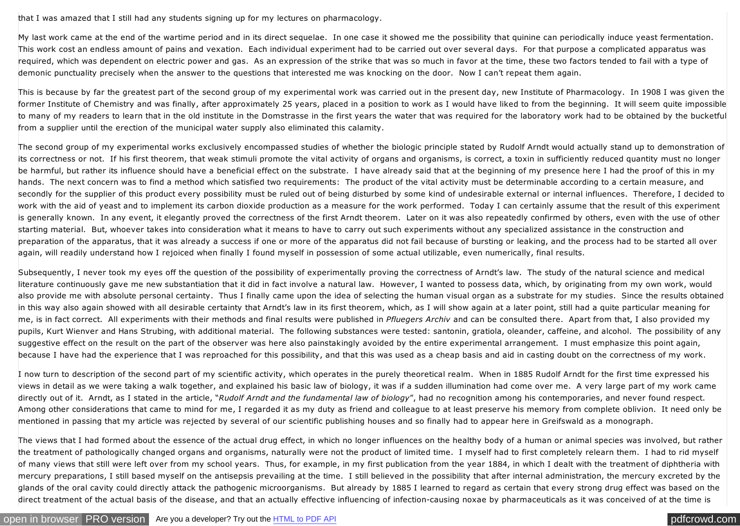that I was amazed that I still had any students signing up for my lectures on pharmacology.

My last work came at the end of the wartime period and in its direct sequelae. In one case it showed me the possibility that quinine can periodically induce yeast fermentation. This work cost an endless amount of pains and vexation. Each individual experiment had to be carried out over several days. For that purpose a complicated apparatus was required, which was dependent on electric power and gas. As an expression of the strike that was so much in favor at the time, these two factors tended to fail with a type of demonic punctuality precisely when the answer to the questions that interested me was knocking on the door. Now I can't repeat them again.

This is because by far the greatest part of the second group of my experimental work was carried out in the present day, new Institute of Pharmacology. In 1908 I was given the former Institute of Chemistry and was finally, after approximately 25 years, placed in a position to work as I would have liked to from the beginning. It will seem quite impossible to many of my readers to learn that in the old institute in the Domstrasse in the first years the water that was required for the laboratory work had to be obtained by the bucketful from a supplier until the erection of the municipal water supply also eliminated this calamity.

The second group of my experimental works exclusively encompassed studies of whether the biologic principle stated by Rudolf Arndt would actually stand up to demonstration of its correctness or not. If his first theorem, that weak stimuli promote the vital activity of organs and organisms, is correct, a toxin in sufficiently reduced quantity must no longer be harmful, but rather its influence should have a beneficial effect on the substrate. I have already said that at the beginning of my presence here I had the proof of this in my hands. The next concern was to find a method which satisfied two requirements: The product of the vital activity must be determinable according to a certain measure, and secondly for the supplier of this product every possibility must be ruled out of being disturbed by some kind of undesirable external or internal influences. Therefore, I decided to work with the aid of yeast and to implement its carbon dioxide production as a measure for the work performed. Today I can certainly assume that the result of this experiment is generally known. In any event, it elegantly proved the correctness of the first Arndt theorem. Later on it was also repeatedly confirmed by others, even with the use of other starting material. But, whoever takes into consideration what it means to have to carry out such experiments without any specialized assistance in the construction and preparation of the apparatus, that it was already a success if one or more of the apparatus did not fail because of bursting or leaking, and the process had to be started all over again, will readily understand how I rejoiced when finally I found myself in possession of some actual utilizable, even numerically, final results.

Subsequently, I never took my eyes off the question of the possibility of experimentally proving the correctness of Arndt's law. The study of the natural science and medical literature continuously gave me new substantiation that it did in fact involve a natural law. However, I wanted to possess data, which, by originating from my own work, would also provide me with absolute personal certainty. Thus I finally came upon the idea of selecting the human visual organ as a substrate for my studies. Since the results obtained in this way also again showed with all desirable certainty that Arndt's law in its first theorem, which, as I will show again at a later point, still had a quite particular meaning for me, is in fact correct. All experiments with their methods and final results were published in *Pfluegers Archiv* and can be consulted there. Apart from that, I also provided my pupils, Kurt Wienver and Hans Strubing, with additional material. The following substances were tested: santonin, gratiola, oleander, caffeine, and alcohol. The possibility of any suggestive effect on the result on the part of the observer was here also painstakingly avoided by the entire experimental arrangement. I must emphasize this point again, because I have had the experience that I was reproached for this possibility, and that this was used as a cheap basis and aid in casting doubt on the correctness of my work.

I now turn to description of the second part of my scientific activity, which operates in the purely theoretical realm. When in 1885 Rudolf Arndt for the first time expressed his views in detail as we were taking a walk together, and explained his basic law of biology, it was if a sudden illumination had come over me. A very large part of my work came directly out of it. Arndt, as I stated in the article, "*Rudolf Arndt and the fundamental law of biology*", had no recognition among his contemporaries, and never found respect. Among other considerations that came to mind for me, I regarded it as my duty as friend and colleague to at least preserve his memory from complete oblivion. It need only be mentioned in passing that my article was rejected by several of our scientific publishing houses and so finally had to appear here in Greifswald as a monograph.

The views that I had formed about the essence of the actual drug effect, in which no longer influences on the healthy body of a human or animal species was involved, but rather the treatment of pathologically changed organs and organisms, naturally were not the product of limited time. I myself had to first completely relearn them. I had to rid myself of many views that still were left over from my school years. Thus, for example, in my first publication from the year 1884, in which I dealt with the treatment of diphtheria with mercury preparations, I still based myself on the antisepsis prevailing at the time. I still believed in the possibility that after internal administration, the mercury excreted by the glands of the oral cavity could directly attack the pathogenic microorganisms. But already by 1885 I learned to regard as certain that every strong drug effect was based on the direct treatment of the actual basis of the disease, and that an actually effective influencing of infection-causing noxae by pharmaceuticals as it was conceived of at the time is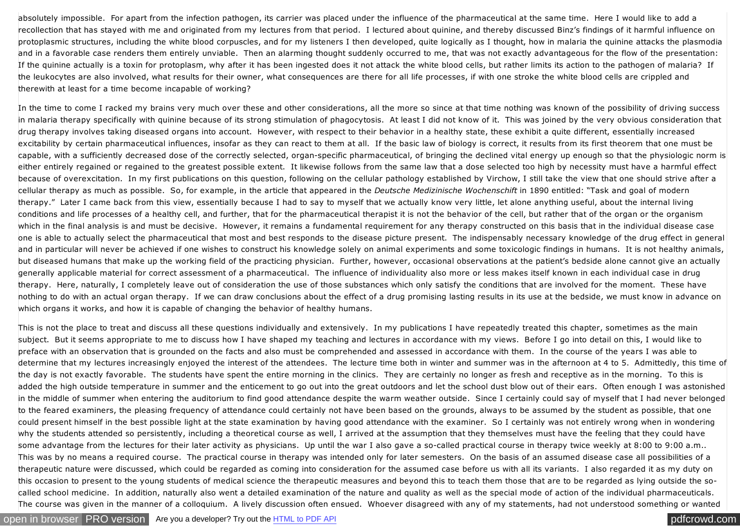absolutely impossible. For apart from the infection pathogen, its carrier was placed under the influence of the pharmaceutical at the same time. Here I would like to add a recollection that has stayed with me and originated from my lectures from that period. I lectured about quinine, and thereby discussed Binz's findings of it harmful influence on protoplasmic structures, including the white blood corpuscles, and for my listeners I then developed, quite logically as I thought, how in malaria the quinine attacks the plasmodia and in a favorable case renders them entirely unviable. Then an alarming thought suddenly occurred to me, that was not exactly advantageous for the flow of the presentation: If the quinine actually is a toxin for protoplasm, why after it has been ingested does it not attack the white blood cells, but rather limits its action to the pathogen of malaria? If the leukocytes are also involved, what results for their owner, what consequences are there for all life processes, if with one stroke the white blood cells are crippled and therewith at least for a time become incapable of working?

In the time to come I racked my brains very much over these and other considerations, all the more so since at that time nothing was known of the possibility of driving success in malaria therapy specifically with quinine because of its strong stimulation of phagocytosis. At least I did not know of it. This was joined by the very obvious consideration that drug therapy involves taking diseased organs into account. However, with respect to their behavior in a healthy state, these exhibit a quite different, essentially increased excitability by certain pharmaceutical influences, insofar as they can react to them at all. If the basic law of biology is correct, it results from its first theorem that one must be capable, with a sufficiently decreased dose of the correctly selected, organ-specific pharmaceutical, of bringing the declined vital energy up enough so that the physiologic norm is either entirely regained or regained to the greatest possible extent. It likewise follows from the same law that a dose selected too high by necessity must have a harmful effect because of overexcitation. In my first publications on this question, following on the cellular pathology established by Virchow, I still take the view that one should strive after a cellular therapy as much as possible. So, for example, in the article that appeared in the *Deutsche Medizinische Wochenschift* in 1890 entitled: "Task and goal of modern therapy." Later I came back from this view, essentially because I had to say to myself that we actually know very little, let alone anything useful, about the internal living conditions and life processes of a healthy cell, and further, that for the pharmaceutical therapist it is not the behavior of the cell, but rather that of the organ or the organism which in the final analysis is and must be decisive. However, it remains a fundamental requirement for any therapy constructed on this basis that in the individual disease case one is able to actually select the pharmaceutical that most and best responds to the disease picture present. The indispensably necessary knowledge of the drug effect in general and in particular will never be achieved if one wishes to construct his knowledge solely on animal experiments and some toxicologic findings in humans. It is not healthy animals, but diseased humans that make up the working field of the practicing physician. Further, however, occasional observations at the patient's bedside alone cannot give an actually generally applicable material for correct assessment of a pharmaceutical. The influence of individuality also more or less makes itself known in each individual case in drug therapy. Here, naturally, I completely leave out of consideration the use of those substances which only satisfy the conditions that are involved for the moment. These have nothing to do with an actual organ therapy. If we can draw conclusions about the effect of a drug promising lasting results in its use at the bedside, we must know in advance on which organs it works, and how it is capable of changing the behavior of healthy humans.

This is not the place to treat and discuss all these questions individually and extensively. In my publications I have repeatedly treated this chapter, sometimes as the main subject. But it seems appropriate to me to discuss how I have shaped my teaching and lectures in accordance with my views. Before I go into detail on this, I would like to preface with an observation that is grounded on the facts and also must be comprehended and assessed in accordance with them. In the course of the years I was able to determine that my lectures increasingly enjoyed the interest of the attendees. The lecture time both in winter and summer was in the afternoon at 4 to 5. Admittedly, this time of the day is not exactly favorable. The students have spent the entire morning in the clinics. They are certainly no longer as fresh and receptive as in the morning. To this is added the high outside temperature in summer and the enticement to go out into the great outdoors and let the school dust blow out of their ears. Often enough I was astonished in the middle of summer when entering the auditorium to find good attendance despite the warm weather outside. Since I certainly could say of myself that I had never belonged to the feared examiners, the pleasing frequency of attendance could certainly not have been based on the grounds, always to be assumed by the student as possible, that one could present himself in the best possible light at the state examination by having good attendance with the examiner. So I certainly was not entirely wrong when in wondering why the students attended so persistently, including a theoretical course as well, I arrived at the assumption that they themselves must have the feeling that they could have some advantage from the lectures for their later activity as physicians. Up until the war I also gave a so-called practical course in therapy twice weekly at 8:00 to 9:00 a.m.. This was by no means a required course. The practical course in therapy was intended only for later semesters. On the basis of an assumed disease case all possibilities of a therapeutic nature were discussed, which could be regarded as coming into consideration for the assumed case before us with all its variants. I also regarded it as my duty on this occasion to present to the young students of medical science the therapeutic measures and beyond this to teach them those that are to be regarded as lying outside the socalled school medicine. In addition, naturally also went a detailed examination of the nature and quality as well as the special mode of action of the individual pharmaceuticals. The course was given in the manner of a colloquium. A lively discussion often ensued. Whoever disagreed with any of my statements, had not understood something or wanted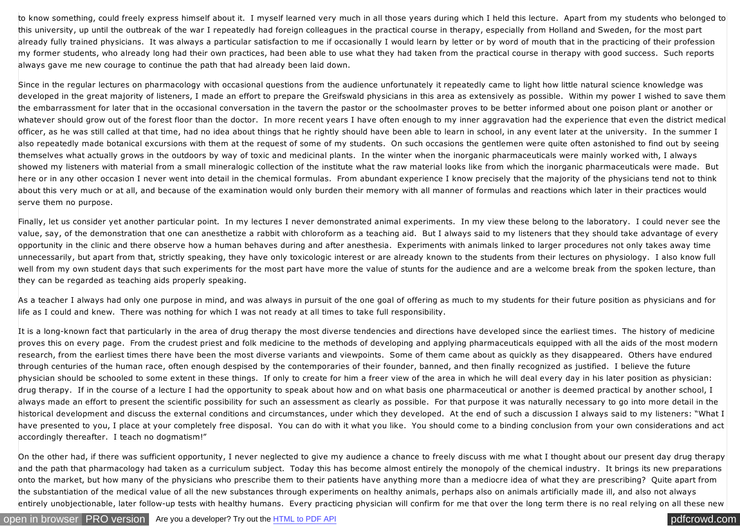to know something, could freely express himself about it. I myself learned very much in all those years during which I held this lecture. Apart from my students who belonged to this university, up until the outbreak of the war I repeatedly had foreign colleagues in the practical course in therapy, especially from Holland and Sweden, for the most part already fully trained physicians. It was always a particular satisfaction to me if occasionally I would learn by letter or by word of mouth that in the practicing of their profession my former students, who already long had their own practices, had been able to use what they had taken from the practical course in therapy with good success. Such reports always gave me new courage to continue the path that had already been laid down.

Since in the regular lectures on pharmacology with occasional questions from the audience unfortunately it repeatedly came to light how little natural science knowledge was developed in the great majority of listeners, I made an effort to prepare the Greifswald physicians in this area as extensively as possible. Within my power I wished to save them the embarrassment for later that in the occasional conversation in the tavern the pastor or the schoolmaster proves to be better informed about one poison plant or another or whatever should grow out of the forest floor than the doctor. In more recent years I have often enough to my inner aggravation had the experience that even the district medical officer, as he was still called at that time, had no idea about things that he rightly should have been able to learn in school, in any event later at the university. In the summer I also repeatedly made botanical excursions with them at the request of some of my students. On such occasions the gentlemen were quite often astonished to find out by seeing themselves what actually grows in the outdoors by way of toxic and medicinal plants. In the winter when the inorganic pharmaceuticals were mainly worked with, I always showed my listeners with material from a small mineralogic collection of the institute what the raw material looks like from which the inorganic pharmaceuticals were made. But here or in any other occasion I never went into detail in the chemical formulas. From abundant experience I know precisely that the majority of the physicians tend not to think about this very much or at all, and because of the examination would only burden their memory with all manner of formulas and reactions which later in their practices would serve them no purpose.

Finally, let us consider yet another particular point. In my lectures I never demonstrated animal experiments. In my view these belong to the laboratory. I could never see the value, say, of the demonstration that one can anesthetize a rabbit with chloroform as a teaching aid. But I always said to my listeners that they should take advantage of every opportunity in the clinic and there observe how a human behaves during and after anesthesia. Experiments with animals linked to larger procedures not only takes away time unnecessarily, but apart from that, strictly speaking, they have only toxicologic interest or are already known to the students from their lectures on physiology. I also know full well from my own student days that such experiments for the most part have more the value of stunts for the audience and are a welcome break from the spoken lecture, than they can be regarded as teaching aids properly speaking.

As a teacher I always had only one purpose in mind, and was always in pursuit of the one goal of offering as much to my students for their future position as physicians and for life as I could and knew. There was nothing for which I was not ready at all times to take full responsibility.

It is a long-known fact that particularly in the area of drug therapy the most diverse tendencies and directions have developed since the earliest times. The history of medicine proves this on every page. From the crudest priest and folk medicine to the methods of developing and applying pharmaceuticals equipped with all the aids of the most modern research, from the earliest times there have been the most diverse variants and viewpoints. Some of them came about as quickly as they disappeared. Others have endured through centuries of the human race, often enough despised by the contemporaries of their founder, banned, and then finally recognized as justified. I believe the future physician should be schooled to some extent in these things. If only to create for him a freer view of the area in which he will deal every day in his later position as physician: drug therapy. If in the course of a lecture I had the opportunity to speak about how and on what basis one pharmaceutical or another is deemed practical by another school, I always made an effort to present the scientific possibility for such an assessment as clearly as possible. For that purpose it was naturally necessary to go into more detail in the historical development and discuss the external conditions and circumstances, under which they developed. At the end of such a discussion I always said to my listeners: "What I have presented to you, I place at your completely free disposal. You can do with it what you like. You should come to a binding conclusion from your own considerations and act accordingly thereafter. I teach no dogmatism!"

On the other had, if there was sufficient opportunity, I never neglected to give my audience a chance to freely discuss with me what I thought about our present day drug therapy and the path that pharmacology had taken as a curriculum subject. Today this has become almost entirely the monopoly of the chemical industry. It brings its new preparations onto the market, but how many of the physicians who prescribe them to their patients have anything more than a mediocre idea of what they are prescribing? Quite apart from the substantiation of the medical value of all the new substances through experiments on healthy animals, perhaps also on animals artificially made ill, and also not always entirely unobjectionable, later follow-up tests with healthy humans. Every practicing physician will confirm for me that over the long term there is no real relying on all these new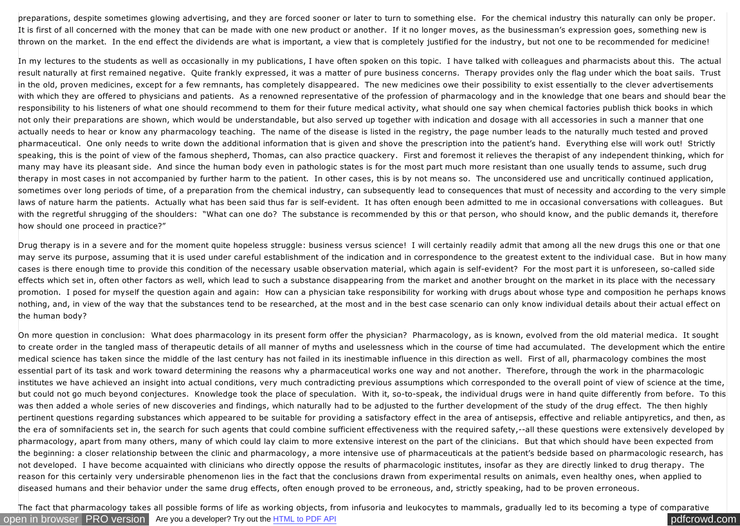preparations, despite sometimes glowing advertising, and they are forced sooner or later to turn to something else. For the chemical industry this naturally can only be proper. It is first of all concerned with the money that can be made with one new product or another. If it no longer moves, as the businessman's expression goes, something new is thrown on the market. In the end effect the dividends are what is important, a view that is completely justified for the industry, but not one to be recommended for medicine!

In my lectures to the students as well as occasionally in my publications, I have often spoken on this topic. I have talked with colleagues and pharmacists about this. The actual result naturally at first remained negative. Quite frankly expressed, it was a matter of pure business concerns. Therapy provides only the flag under which the boat sails. Trust in the old, proven medicines, except for a few remnants, has completely disappeared. The new medicines owe their possibility to exist essentially to the clever advertisements with which they are offered to physicians and patients. As a renowned representative of the profession of pharmacology and in the knowledge that one bears and should bear the responsibility to his listeners of what one should recommend to them for their future medical activity, what should one say when chemical factories publish thick books in which not only their preparations are shown, which would be understandable, but also served up together with indication and dosage with all accessories in such a manner that one actually needs to hear or know any pharmacology teaching. The name of the disease is listed in the registry, the page number leads to the naturally much tested and proved pharmaceutical. One only needs to write down the additional information that is given and shove the prescription into the patient's hand. Everything else will work out! Strictly speaking, this is the point of view of the famous shepherd, Thomas, can also practice quackery. First and foremost it relieves the therapist of any independent thinking, which for many may have its pleasant side. And since the human body even in pathologic states is for the most part much more resistant than one usually tends to assume, such drug therapy in most cases in not accompanied by further harm to the patient. In other cases, this is by not means so. The unconsidered use and uncritically continued application, sometimes over long periods of time, of a preparation from the chemical industry, can subsequently lead to consequences that must of necessity and according to the very simple laws of nature harm the patients. Actually what has been said thus far is self-evident. It has often enough been admitted to me in occasional conversations with colleagues. But with the regretful shrugging of the shoulders: "What can one do? The substance is recommended by this or that person, who should know, and the public demands it, therefore how should one proceed in practice?"

Drug therapy is in a severe and for the moment quite hopeless struggle: business versus science! I will certainly readily admit that among all the new drugs this one or that one may serve its purpose, assuming that it is used under careful establishment of the indication and in correspondence to the greatest extent to the individual case. But in how many cases is there enough time to provide this condition of the necessary usable observation material, which again is self-evident? For the most part it is unforeseen, so-called side effects which set in, often other factors as well, which lead to such a substance disappearing from the market and another brought on the market in its place with the necessary promotion. I posed for myself the question again and again: How can a physician take responsibility for working with drugs about whose type and composition he perhaps knows nothing, and, in view of the way that the substances tend to be researched, at the most and in the best case scenario can only know individual details about their actual effect on the human body?

On more question in conclusion: What does pharmacology in its present form offer the physician? Pharmacology, as is known, evolved from the old material medica. It sought to create order in the tangled mass of therapeutic details of all manner of myths and uselessness which in the course of time had accumulated. The development which the entire medical science has taken since the middle of the last century has not failed in its inestimable influence in this direction as well. First of all, pharmacology combines the most essential part of its task and work toward determining the reasons why a pharmaceutical works one way and not another. Therefore, through the work in the pharmacologic institutes we have achieved an insight into actual conditions, very much contradicting previous assumptions which corresponded to the overall point of view of science at the time, but could not go much beyond conjectures. Knowledge took the place of speculation. With it, so-to-speak, the individual drugs were in hand quite differently from before. To this was then added a whole series of new discoveries and findings, which naturally had to be adjusted to the further development of the study of the drug effect. The then highly pertinent questions regarding substances which appeared to be suitable for providing a satisfactory effect in the area of antisepsis, effective and reliable antipyretics, and then, as the era of somnifacients set in, the search for such agents that could combine sufficient effectiveness with the required safety,--all these questions were extensively developed by pharmacology, apart from many others, many of which could lay claim to more extensive interest on the part of the clinicians. But that which should have been expected from the beginning: a closer relationship between the clinic and pharmacology, a more intensive use of pharmaceuticals at the patient's bedside based on pharmacologic research, has not developed. I have become acquainted with clinicians who directly oppose the results of pharmacologic institutes, insofar as they are directly linked to drug therapy. The reason for this certainly very undersirable phenomenon lies in the fact that the conclusions drawn from experimental results on animals, even healthy ones, when applied to diseased humans and their behavior under the same drug effects, often enough proved to be erroneous, and, strictly speaking, had to be proven erroneous.

[open in browser](http://pdfcrowd.com/redirect/?url=http%3a%2f%2fdose-response.org%2flow-dose%2fscientists%2fschulz%2fschulzpaper.htm&id=ma-140602162830-948cbb0b) [PRO version](http://pdfcrowd.com/customize/) Are you a developer? Try out th[e HTML to PDF API](http://pdfcrowd.com/html-to-pdf-api/?ref=pdf) position of the ATML of the ATML to PDF API position of the ATML of the ATML to PDF API position of the ATML of the ATML to PDF API position of t The fact that pharmacology takes all possible forms of life as working objects, from infusoria and leukocytes to mammals, gradually led to its becoming a type of comparative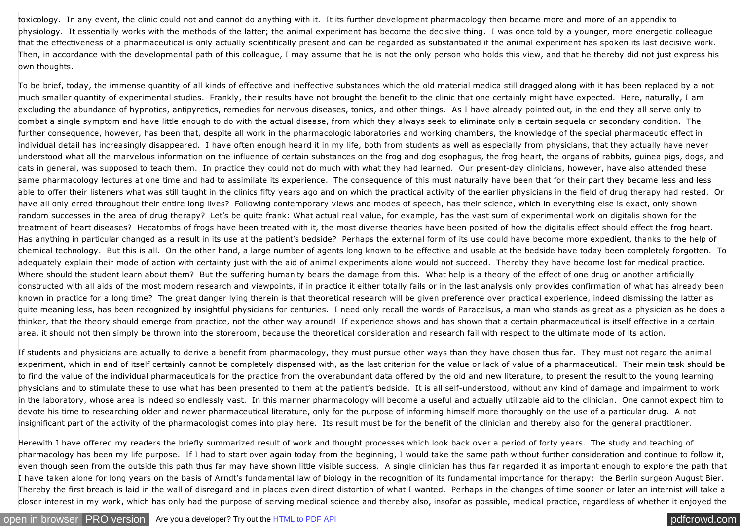toxicology. In any event, the clinic could not and cannot do anything with it. It its further development pharmacology then became more and more of an appendix to physiology. It essentially works with the methods of the latter; the animal experiment has become the decisive thing. I was once told by a younger, more energetic colleague that the effectiveness of a pharmaceutical is only actually scientifically present and can be regarded as substantiated if the animal experiment has spoken its last decisive work. Then, in accordance with the developmental path of this colleague, I may assume that he is not the only person who holds this view, and that he thereby did not just express his own thoughts.

To be brief, today, the immense quantity of all kinds of effective and ineffective substances which the old material medica still dragged along with it has been replaced by a not much smaller quantity of experimental studies. Frankly, their results have not brought the benefit to the clinic that one certainly might have expected. Here, naturally, I am excluding the abundance of hypnotics, antipyretics, remedies for nervous diseases, tonics, and other things. As I have already pointed out, in the end they all serve only to combat a single symptom and have little enough to do with the actual disease, from which they always seek to eliminate only a certain sequela or secondary condition. The further consequence, however, has been that, despite all work in the pharmacologic laboratories and working chambers, the knowledge of the special pharmaceutic effect in individual detail has increasingly disappeared. I have often enough heard it in my life, both from students as well as especially from physicians, that they actually have never understood what all the marvelous information on the influence of certain substances on the frog and dog esophagus, the frog heart, the organs of rabbits, guinea pigs, dogs, and cats in general, was supposed to teach them. In practice they could not do much with what they had learned. Our present-day clinicians, however, have also attended these same pharmacology lectures at one time and had to assimilate its experience. The consequence of this must naturally have been that for their part they became less and less able to offer their listeners what was still taught in the clinics fifty years ago and on which the practical activity of the earlier physicians in the field of drug therapy had rested. Or have all only erred throughout their entire long lives? Following contemporary views and modes of speech, has their science, which in everything else is exact, only shown random successes in the area of drug therapy? Let's be quite frank: What actual real value, for example, has the vast sum of experimental work on digitalis shown for the treatment of heart diseases? Hecatombs of frogs have been treated with it, the most diverse theories have been posited of how the digitalis effect should effect the frog heart. Has anything in particular changed as a result in its use at the patient's bedside? Perhaps the external form of its use could have become more expedient, thanks to the help of chemical technology. But this is all. On the other hand, a large number of agents long known to be effective and usable at the bedside have today been completely forgotten. To adequately explain their mode of action with certainty just with the aid of animal experiments alone would not succeed. Thereby they have become lost for medical practice. Where should the student learn about them? But the suffering humanity bears the damage from this. What help is a theory of the effect of one drug or another artificially constructed with all aids of the most modern research and viewpoints, if in practice it either totally fails or in the last analysis only provides confirmation of what has already been known in practice for a long time? The great danger lying therein is that theoretical research will be given preference over practical experience, indeed dismissing the latter as quite meaning less, has been recognized by insightful physicians for centuries. I need only recall the words of Paracelsus, a man who stands as great as a physician as he does a thinker, that the theory should emerge from practice, not the other way around! If experience shows and has shown that a certain pharmaceutical is itself effective in a certain area, it should not then simply be thrown into the storeroom, because the theoretical consideration and research fail with respect to the ultimate mode of its action.

If students and physicians are actually to derive a benefit from pharmacology, they must pursue other ways than they have chosen thus far. They must not regard the animal experiment, which in and of itself certainly cannot be completely dispensed with, as the last criterion for the value or lack of value of a pharmaceutical. Their main task should be to find the value of the individual pharmaceuticals for the practice from the overabundant data offered by the old and new literature, to present the result to the young learning physicians and to stimulate these to use what has been presented to them at the patient's bedside. It is all self-understood, without any kind of damage and impairment to work in the laboratory, whose area is indeed so endlessly vast. In this manner pharmacology will become a useful and actually utilizable aid to the clinician. One cannot expect him to devote his time to researching older and newer pharmaceutical literature, only for the purpose of informing himself more thoroughly on the use of a particular drug. A not insignificant part of the activity of the pharmacologist comes into play here. Its result must be for the benefit of the clinician and thereby also for the general practitioner.

Herewith I have offered my readers the briefly summarized result of work and thought processes which look back over a period of forty years. The study and teaching of pharmacology has been my life purpose. If I had to start over again today from the beginning, I would take the same path without further consideration and continue to follow it, even though seen from the outside this path thus far may have shown little visible success. A single clinician has thus far regarded it as important enough to explore the path that I have taken alone for long years on the basis of Arndt's fundamental law of biology in the recognition of its fundamental importance for therapy: the Berlin surgeon August Bier. Thereby the first breach is laid in the wall of disregard and in places even direct distortion of what I wanted. Perhaps in the changes of time sooner or later an internist will take a closer interest in my work, which has only had the purpose of serving medical science and thereby also, insofar as possible, medical practice, regardless of whether it enjoyed the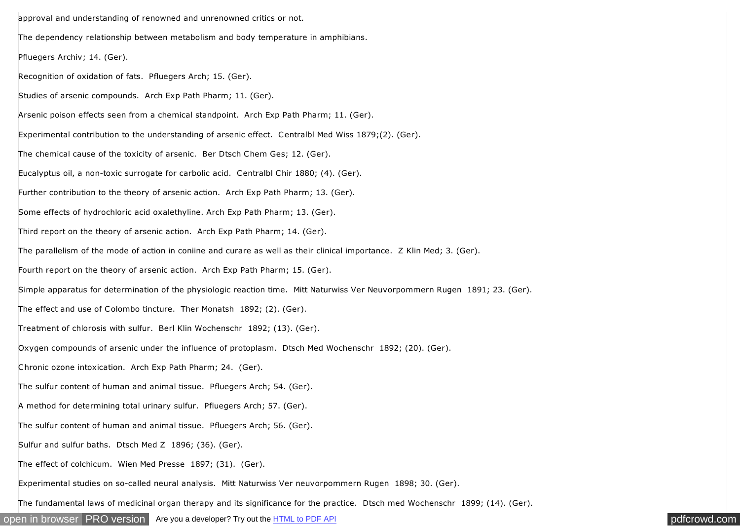approval and understanding of renowned and unrenowned critics or not.

The dependency relationship between metabolism and body temperature in amphibians.

Pfluegers Archiv; 14. (Ger).

Recognition of oxidation of fats. Pfluegers Arch; 15. (Ger).

Studies of arsenic compounds. Arch Exp Path Pharm; 11. (Ger).

Arsenic poison effects seen from a chemical standpoint. Arch Exp Path Pharm; 11. (Ger).

Experimental contribution to the understanding of arsenic effect. C entralbl Med Wiss 1879;(2). (Ger).

The chemical cause of the toxicity of arsenic. Ber Dtsch Chem Ges; 12. (Ger).

Eucalyptus oil, a non-toxic surrogate for carbolic acid. C entralbl Chir 1880; (4). (Ger).

Further contribution to the theory of arsenic action. Arch Exp Path Pharm; 13. (Ger).

Some effects of hydrochloric acid oxalethyline. Arch Exp Path Pharm; 13. (Ger).

Third report on the theory of arsenic action. Arch Exp Path Pharm; 14. (Ger).

The parallelism of the mode of action in coniine and curare as well as their clinical importance. Z Klin Med; 3. (Ger).

Fourth report on the theory of arsenic action. Arch Exp Path Pharm; 15. (Ger).

Simple apparatus for determination of the physiologic reaction time. Mitt Naturwiss Ver Neuvorpommern Rugen 1891; 23. (Ger).

The effect and use of Colombo tincture. Ther Monatsh 1892; (2). (Ger).

Treatment of chlorosis with sulfur. Berl Klin Wochenschr 1892; (13). (Ger).

Oxygen compounds of arsenic under the influence of protoplasm. Dtsch Med Wochenschr 1892; (20). (Ger).

Chronic ozone intoxication. Arch Exp Path Pharm; 24. (Ger).

The sulfur content of human and animal tissue. Pfluegers Arch; 54. (Ger).

A method for determining total urinary sulfur. Pfluegers Arch; 57. (Ger).

The sulfur content of human and animal tissue. Pfluegers Arch; 56. (Ger).

Sulfur and sulfur baths. Dtsch Med Z 1896; (36). (Ger).

The effect of colchicum. Wien Med Presse 1897; (31). (Ger).

Experimental studies on so-called neural analysis. Mitt Naturwiss Ver neuvorpommern Rugen 1898; 30. (Ger).

The fundamental laws of medicinal organ therapy and its significance for the practice. Dtsch med Wochenschr 1899; (14). (Ger).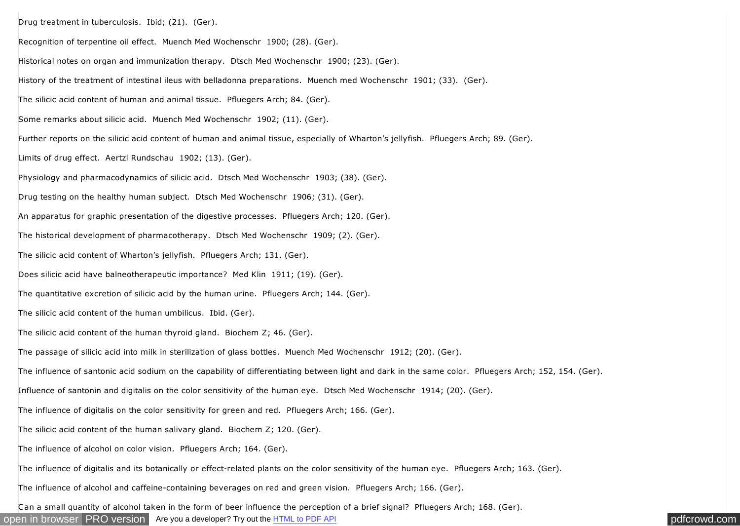Drug treatment in tuberculosis. Ibid; (21). (Ger). Recognition of terpentine oil effect. Muench Med Wochenschr 1900; (28). (Ger). Historical notes on organ and immunization therapy. Dtsch Med Wochenschr 1900; (23). (Ger). History of the treatment of intestinal ileus with belladonna preparations. Muench med Wochenschr 1901; (33). (Ger). The silicic acid content of human and animal tissue. Pfluegers Arch; 84. (Ger). Some remarks about silicic acid. Muench Med Wochenschr 1902; (11). (Ger). Further reports on the silicic acid content of human and animal tissue, especially of Wharton's jellyfish. Pfluegers Arch; 89. (Ger). Limits of drug effect. Aertzl Rundschau 1902; (13). (Ger). Physiology and pharmacodynamics of silicic acid. Dtsch Med Wochenschr 1903; (38). (Ger). Drug testing on the healthy human subject. Dtsch Med Wochenschr 1906; (31). (Ger). An apparatus for graphic presentation of the digestive processes. Pfluegers Arch; 120. (Ger). The historical development of pharmacotherapy. Dtsch Med Wochenschr 1909; (2). (Ger). The silicic acid content of Wharton's jellyfish. Pfluegers Arch; 131. (Ger). Does silicic acid have balneotherapeutic importance? Med Klin 1911; (19). (Ger). The quantitative excretion of silicic acid by the human urine. Pfluegers Arch; 144. (Ger). The silicic acid content of the human umbilicus. Ibid. (Ger). The silicic acid content of the human thyroid gland. Biochem Z; 46. (Ger). The passage of silicic acid into milk in sterilization of glass bottles. Muench Med Wochenschr 1912; (20). (Ger). The influence of santonic acid sodium on the capability of differentiating between light and dark in the same color. Pfluegers Arch; 152, 154. (Ger). Influence of santonin and digitalis on the color sensitivity of the human eye. Dtsch Med Wochenschr 1914; (20). (Ger). The influence of digitalis on the color sensitivity for green and red. Pfluegers Arch; 166. (Ger). The silicic acid content of the human salivary gland. Biochem Z; 120. (Ger). The influence of alcohol on color vision. Pfluegers Arch; 164. (Ger). The influence of digitalis and its botanically or effect-related plants on the color sensitivity of the human eye. Pfluegers Arch; 163. (Ger).

The influence of alcohol and caffeine-containing beverages on red and green vision. Pfluegers Arch; 166. (Ger).

Can a small quantity of alcohol taken in the form of beer influence the perception of a brief signal? Pfluegers Arch; 168. (Ger).

[open in browser](http://pdfcrowd.com/redirect/?url=http%3a%2f%2fdose-response.org%2flow-dose%2fscientists%2fschulz%2fschulzpaper.htm&id=ma-140602162830-948cbb0b) [PRO version](http://pdfcrowd.com/customize/) Are you a developer? Try out th[e HTML to PDF API](http://pdfcrowd.com/html-to-pdf-api/?ref=pdf) compared and the comparison of the HTML to PDF API comparison of the comparison of the comparison of the comparison of the comparison of the comp